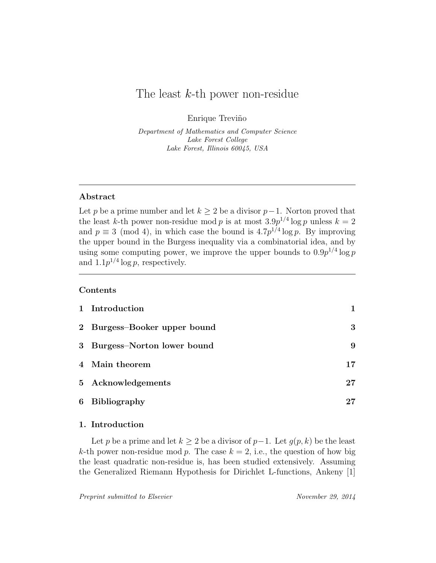# The least  $k$ -th power non-residue

Enrique Treviño

Department of Mathematics and Computer Science Lake Forest College Lake Forest, Illinois 60045, USA

### Abstract

Let p be a prime number and let  $k \geq 2$  be a divisor p-1. Norton proved that the least k-th power non-residue mod p is at most  $3.9p^{1/4}\log p$  unless  $k=2$ and  $p \equiv 3 \pmod{4}$ , in which case the bound is  $4.7p^{1/4} \log p$ . By improving the upper bound in the Burgess inequality via a combinatorial idea, and by using some computing power, we improve the upper bounds to  $0.9p^{1/4} \log p$ and  $1.1p^{1/4}\log p$ , respectively.

## Contents

|                | 1 Introduction               |    |
|----------------|------------------------------|----|
|                | 2 Burgess-Booker upper bound | 3  |
|                | 3 Burgess-Norton lower bound | 9  |
|                | 4 Main theorem               | 17 |
|                | 5 Acknowledgements           | 27 |
| $6\phantom{.}$ | <b>Bibliography</b>          |    |

# 1. Introduction

Let p be a prime and let  $k \geq 2$  be a divisor of  $p-1$ . Let  $g(p, k)$  be the least k-th power non-residue mod p. The case  $k = 2$ , i.e., the question of how big the least quadratic non-residue is, has been studied extensively. Assuming the Generalized Riemann Hypothesis for Dirichlet L-functions, Ankeny [1]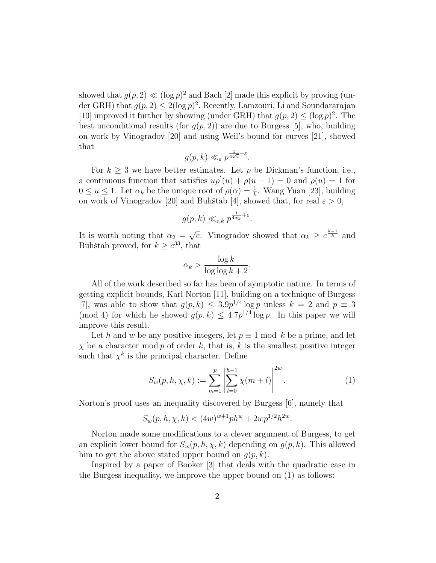showed that  $g(p, 2) \ll (\log p)^2$  and Bach [2] made this explicit by proving (under GRH) that  $g(p, 2) \leq 2(\log p)^2$ . Recently, Lamzouri, Li and Soundararajan [10] improved it further by showing (under GRH) that  $g(p, 2) \leq (\log p)^2$ . The best unconditional results (for  $q(p, 2)$ ) are due to Burgess [5], who, building on work by Vinogradov [20] and using Weil's bound for curves [21], showed that

$$
g(p,k) \ll_{\varepsilon} p^{\frac{1}{4\sqrt{e}} + \varepsilon}.
$$

For  $k \geq 3$  we have better estimates. Let  $\rho$  be Dickman's function, i.e., a continuous function that satisfies  $u \rho'(u) + \rho(u-1) = 0$  and  $\rho(u) = 1$  for  $0 \le u \le 1$ . Let  $\alpha_k$  be the unique root of  $\rho(\alpha) = \frac{1}{k}$ . Wang Yuan [23], building on work of Vinogradov [20] and Buhštab [4], showed that, for real  $\varepsilon > 0$ ,

$$
g(p,k) \ll_{\varepsilon,k} p^{\frac{1}{4\alpha_k}+\varepsilon}.
$$

It is worth noting that  $\alpha_2 =$ √  $\overline{e}$ . Vinogradov showed that  $\alpha_k \geq e^{\frac{k-1}{k}}$  and Buhštab proved, for  $k \geq e^{33}$ , that

$$
\alpha_k > \frac{\log k}{\log \log k + 2}.
$$

All of the work described so far has been of aymptotic nature. In terms of getting explicit bounds, Karl Norton [11], building on a technique of Burgess [7], was able to show that  $g(p, k) \leq 3.9p^{1/4} \log p$  unless  $k = 2$  and  $p \equiv 3$ (mod 4) for which he showed  $g(p, k) \leq 4.7p^{1/4} \log p$ . In this paper we will improve this result.

Let h and w be any positive integers, let  $p \equiv 1 \mod k$  be a prime, and let  $\chi$  be a character mod p of order k, that is, k is the smallest positive integer such that  $\chi^k$  is the principal character. Define

$$
S_w(p, h, \chi, k) := \sum_{m=1}^p \left| \sum_{l=0}^{h-1} \chi(m+l) \right|^{2w}.
$$
 (1)

Norton's proof uses an inequality discovered by Burgess [6], namely that

$$
S_w(p, h, \chi, k) < (4w)^{w+1} ph^w + 2wp^{1/2} h^{2w}.
$$

Norton made some modifications to a clever argument of Burgess, to get an explicit lower bound for  $S_w(p, h, \chi, k)$  depending on  $g(p, k)$ . This allowed him to get the above stated upper bound on  $g(p, k)$ .

Inspired by a paper of Booker [3] that deals with the quadratic case in the Burgess inequality, we improve the upper bound on (1) as follows: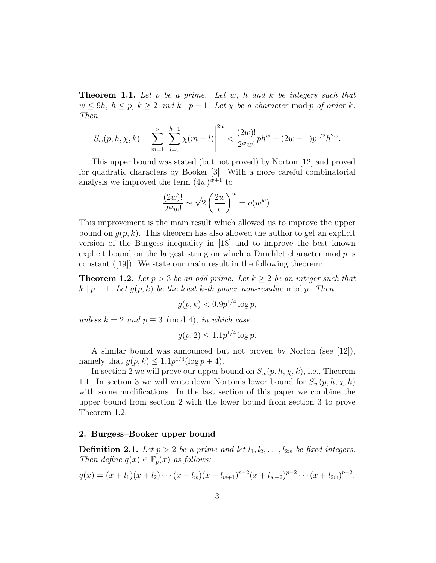**Theorem 1.1.** Let  $p$  be a prime. Let  $w$ ,  $h$  and  $k$  be integers such that  $w \le 9h, h \le p, k \ge 2$  and  $k \mid p-1$ . Let  $\chi$  be a character mod p of order k. Then

$$
S_w(p, h, \chi, k) = \sum_{m=1}^p \left| \sum_{l=0}^{h-1} \chi(m+l) \right|^{2w} < \frac{(2w)!}{2^w w!} ph^w + (2w-1)p^{1/2} h^{2w}.
$$

This upper bound was stated (but not proved) by Norton [12] and proved for quadratic characters by Booker [3]. With a more careful combinatorial analysis we improved the term  $(4w)^{w+1}$  to

$$
\frac{(2w)!}{2^w w!} \sim \sqrt{2} \left(\frac{2w}{e}\right)^w = o(w^w).
$$

This improvement is the main result which allowed us to improve the upper bound on  $q(p, k)$ . This theorem has also allowed the author to get an explicit version of the Burgess inequality in [18] and to improve the best known explicit bound on the largest string on which a Dirichlet character mod  $p$  is constant ([19]). We state our main result in the following theorem:

**Theorem 1.2.** Let  $p > 3$  be an odd prime. Let  $k \geq 2$  be an integer such that  $k | p - 1$ . Let  $g(p, k)$  be the least k-th power non-residue mod p. Then

$$
g(p,k) < 0.9p^{1/4} \log p,
$$

unless  $k = 2$  and  $p \equiv 3 \pmod{4}$ , in which case

$$
g(p, 2) \le 1.1 p^{1/4} \log p.
$$

A similar bound was announced but not proven by Norton (see [12]), namely that  $g(p, k) \leq 1.1p^{1/4}(\log p + 4)$ .

In section 2 we will prove our upper bound on  $S_w(p, h, \chi, k)$ , i.e., Theorem 1.1. In section 3 we will write down Norton's lower bound for  $S_w(p, h, \chi, k)$ with some modifications. In the last section of this paper we combine the upper bound from section 2 with the lower bound from section 3 to prove Theorem 1.2.

#### 2. Burgess–Booker upper bound

**Definition 2.1.** Let  $p > 2$  be a prime and let  $l_1, l_2, \ldots, l_{2w}$  be fixed integers. Then define  $q(x) \in \mathbb{F}_p(x)$  as follows:

$$
q(x) = (x + l_1)(x + l_2) \cdots (x + l_w)(x + l_{w+1})^{p-2}(x + l_{w+2})^{p-2} \cdots (x + l_{2w})^{p-2}.
$$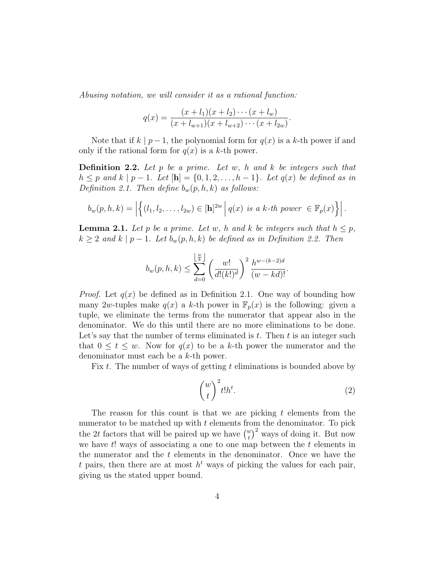Abusing notation, we will consider it as a rational function:

$$
q(x) = \frac{(x + l_1)(x + l_2) \cdots (x + l_w)}{(x + l_{w+1})(x + l_{w+2}) \cdots (x + l_{2w})}.
$$

Note that if  $k \mid p-1$ , the polynomial form for  $q(x)$  is a k-th power if and only if the rational form for  $q(x)$  is a k-th power.

**Definition 2.2.** Let  $p$  be a prime. Let  $w$ ,  $h$  and  $k$  be integers such that  $h \leq p$  and  $k | p - 1$ . Let  $[\mathbf{h}] = \{0, 1, 2, \ldots, h - 1\}$ . Let  $q(x)$  be defined as in Definition 2.1. Then define  $b_w(p, h, k)$  as follows:

$$
b_w(p, h, k) = \left| \left\{ (l_1, l_2, \dots, l_{2w}) \in [\mathbf{h}]^{2w} \middle| q(x) \text{ is a } k\text{-th power } \in \mathbb{F}_p(x) \right\} \right|.
$$

**Lemma 2.1.** Let p be a prime. Let w, h and k be integers such that  $h \leq p$ ,  $k \geq 2$  and  $k \mid p-1$ . Let  $b_w(p, h, k)$  be defined as in Definition 2.2. Then

$$
b_w(p, h, k) \le \sum_{d=0}^{\left\lfloor \frac{w}{k} \right\rfloor} \left(\frac{w!}{d!(k!)^d}\right)^2 \frac{h^{w-(k-2)d}}{(w-kd)!}.
$$

*Proof.* Let  $q(x)$  be defined as in Definition 2.1. One way of bounding how many 2w-tuples make  $q(x)$  a k-th power in  $\mathbb{F}_p(x)$  is the following: given a tuple, we eliminate the terms from the numerator that appear also in the denominator. We do this until there are no more eliminations to be done. Let's say that the number of terms eliminated is  $t$ . Then  $t$  is an integer such that  $0 \leq t \leq w$ . Now for  $q(x)$  to be a k-th power the numerator and the denominator must each be a k-th power.

Fix t. The number of ways of getting t eliminations is bounded above by

$$
\binom{w}{t}^2 t! h^t. \tag{2}
$$

The reason for this count is that we are picking  $t$  elements from the numerator to be matched up with  $t$  elements from the denominator. To pick the 2t factors that will be paired up we have  $\binom{w}{t}^2$  ways of doing it. But now we have  $t!$  ways of associating a one to one map between the  $t$  elements in the numerator and the  $t$  elements in the denominator. Once we have the t pairs, then there are at most  $h^t$  ways of picking the values for each pair, giving us the stated upper bound.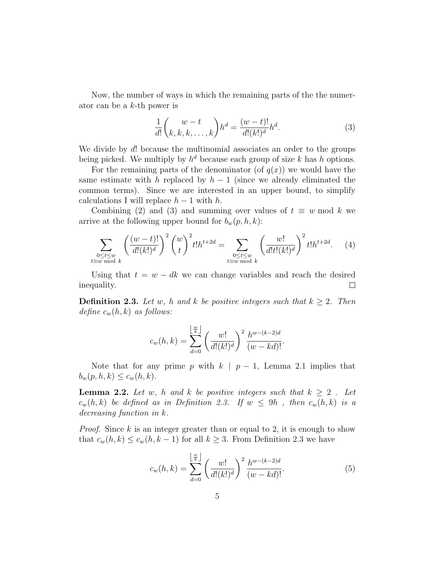Now, the number of ways in which the remaining parts of the the numerator can be a k-th power is

$$
\frac{1}{d!} \binom{w-t}{k, k, k, \dots, k} h^d = \frac{(w-t)!}{d!(k!)^d} h^d.
$$
\n(3)

We divide by d! because the multinomial associates an order to the groups being picked. We multiply by  $h^d$  because each group of size k has h options.

For the remaining parts of the denominator (of  $q(x)$ ) we would have the same estimate with h replaced by  $h - 1$  (since we already eliminated the common terms). Since we are interested in an upper bound, to simplify calculations I will replace  $h-1$  with h.

Combining (2) and (3) and summing over values of  $t \equiv w \mod k$  we arrive at the following upper bound for  $b_w(p, h, k)$ :

$$
\sum_{\substack{0 \le t \le w \\ t \equiv w \bmod k}} \left( \frac{(w-t)!}{d!(k!)^d} \right)^2 {w \choose t}^2 t! h^{t+2d} = \sum_{\substack{0 \le t \le w \\ t \equiv w \bmod k}} \left( \frac{w!}{d!t!(k!)^d} \right)^2 t! h^{t+2d}.
$$
 (4)

Using that  $t = w - dk$  we can change variables and reach the desired inequality.  $\Box$ 

**Definition 2.3.** Let w, h and k be positive integers such that  $k \geq 2$ . Then define  $c_w(h, k)$  as follows:

$$
c_w(h,k) = \sum_{d=0}^{\left\lfloor \frac{w}{k} \right\rfloor} \left(\frac{w!}{d!(k!)^d}\right)^2 \frac{h^{w-(k-2)d}}{(w-kd)!}.
$$

Note that for any prime p with  $k \mid p-1$ , Lemma 2.1 implies that  $b_w(p, h, k) \leq c_w(h, k).$ 

**Lemma 2.2.** Let w, h and k be positive integers such that  $k \geq 2$ . Let  $c_w(h, k)$  be defined as in Definition 2.3. If  $w \le 9h$ , then  $c_w(h, k)$  is a decreasing function in k.

*Proof.* Since  $k$  is an integer greater than or equal to 2, it is enough to show that  $c_w(h, k) \leq c_w(h, k-1)$  for all  $k \geq 3$ . From Definition 2.3 we have

$$
c_w(h,k) = \sum_{d=0}^{\left\lfloor \frac{w}{k} \right\rfloor} \left(\frac{w!}{d!(k!)^d}\right)^2 \frac{h^{w-(k-2)d}}{(w-kd)!}.
$$
 (5)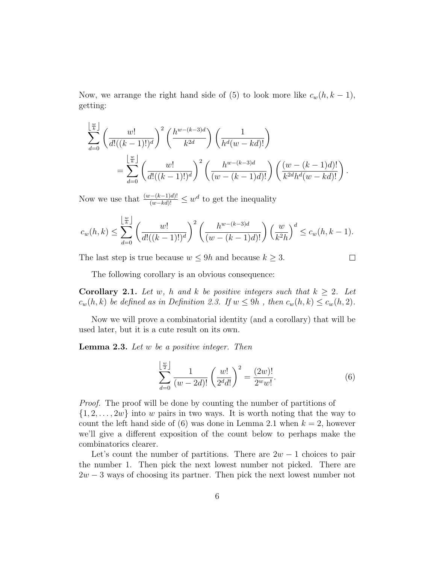Now, we arrange the right hand side of (5) to look more like  $c_w(h, k-1)$ , getting:

$$
\sum_{d=0}^{\lfloor \frac{w}{k} \rfloor} \left( \frac{w!}{d!((k-1)!)^d} \right)^2 \left( \frac{h^{w-(k-3)d}}{k^{2d}} \right) \left( \frac{1}{h^d(w-kd)!} \right)
$$
  
= 
$$
\sum_{d=0}^{\lfloor \frac{w}{k} \rfloor} \left( \frac{w!}{d!((k-1)!)^d} \right)^2 \left( \frac{h^{w-(k-3)d}}{(w-(k-1)d)!} \right) \left( \frac{(w-(k-1)d)!}{k^{2d}h^d(w-kd)!} \right).
$$

Now we use that  $\frac{(w-(k-1)d)!}{(w-kd)!} \leq w^d$  to get the inequality

$$
c_w(h,k) \leq \sum_{d=0}^{\left\lfloor \frac{w}{k} \right\rfloor} \left( \frac{w!}{d!((k-1)!)^d} \right)^2 \left( \frac{h^{w-(k-3)d}}{(w-(k-1)d)!} \right) \left( \frac{w}{k^2h} \right)^d \leq c_w(h,k-1).
$$

The last step is true because  $w \le 9h$  and because  $k \ge 3$ .

$$
\qquad \qquad \Box
$$

The following corollary is an obvious consequence:

**Corollary 2.1.** Let w, h and k be positive integers such that  $k \geq 2$ . Let  $c_w(h, k)$  be defined as in Definition 2.3. If  $w \le 9h$ , then  $c_w(h, k) \le c_w(h, 2)$ .

Now we will prove a combinatorial identity (and a corollary) that will be used later, but it is a cute result on its own.

**Lemma 2.3.** Let  $w$  be a positive integer. Then

$$
\sum_{d=0}^{\left\lfloor \frac{w}{2} \right\rfloor} \frac{1}{(w - 2d)!} \left( \frac{w!}{2^d d!} \right)^2 = \frac{(2w)!}{2^w w!}.
$$
 (6)

Proof. The proof will be done by counting the number of partitions of  $\{1, 2, \ldots, 2w\}$  into w pairs in two ways. It is worth noting that the way to count the left hand side of (6) was done in Lemma 2.1 when  $k = 2$ , however we'll give a different exposition of the count below to perhaps make the combinatorics clearer.

Let's count the number of partitions. There are  $2w - 1$  choices to pair the number 1. Then pick the next lowest number not picked. There are  $2w - 3$  ways of choosing its partner. Then pick the next lowest number not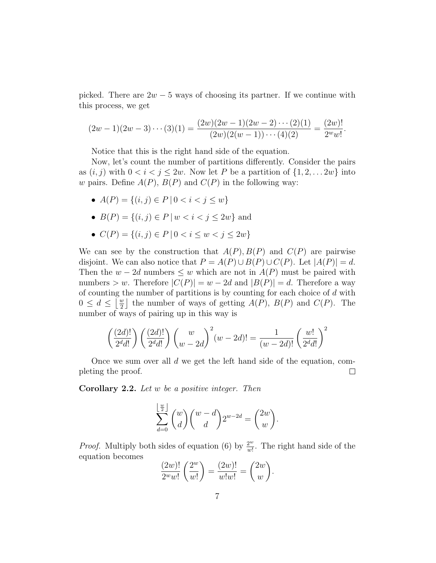picked. There are  $2w - 5$  ways of choosing its partner. If we continue with this process, we get

$$
(2w-1)(2w-3)\cdots(3)(1) = \frac{(2w)(2w-1)(2w-2)\cdots(2)(1)}{(2w)(2(w-1))\cdots(4)(2)} = \frac{(2w)!}{2^w w!}.
$$

Notice that this is the right hand side of the equation.

Now, let's count the number of partitions differently. Consider the pairs as  $(i, j)$  with  $0 < i < j \leq 2w$ . Now let P be a partition of  $\{1, 2, \ldots, 2w\}$  into w pairs. Define  $A(P)$ ,  $B(P)$  and  $C(P)$  in the following way:

- $A(P) = \{(i, j) \in P \mid 0 < i < j \leq w\}$
- $B(P) = \{(i, j) \in P \mid w < i < j < 2w\}$  and
- $C(P) = \{(i, j) \in P \mid 0 < i \leq w < j \leq 2w\}$

We can see by the construction that  $A(P), B(P)$  and  $C(P)$  are pairwise disjoint. We can also notice that  $P = A(P) \cup B(P) \cup C(P)$ . Let  $|A(P)| = d$ . Then the  $w - 2d$  numbers  $\leq w$  which are not in  $A(P)$  must be paired with numbers > w. Therefore  $|C(P)| = w - 2d$  and  $|B(P)| = d$ . Therefore a way of counting the number of partitions is by counting for each choice of d with  $0 \leq d \leq \left\lfloor \frac{w}{2} \right\rfloor$  $\frac{w}{2}$  the number of ways of getting  $A(P)$ ,  $B(P)$  and  $C(P)$ . The number of ways of pairing up in this way is

$$
\left(\frac{(2d)!}{2^d d!}\right) \left(\frac{(2d)!}{2^d d!}\right) \left(\frac{w}{w-2d}\right)^2 (w-2d)! = \frac{1}{(w-2d)!} \left(\frac{w!}{2^d d!}\right)^2
$$

Once we sum over all d we get the left hand side of the equation, completing the proof.  $\Box$ 

**Corollary 2.2.** Let  $w$  be a positive integer. Then

$$
\sum_{d=0}^{\left\lfloor \frac{w}{2} \right\rfloor} {w \choose d} {w-d \choose d} 2^{w-2d} = {2w \choose w}.
$$

*Proof.* Multiply both sides of equation (6) by  $\frac{2^w}{w!}$  $\frac{2^w}{w!}$ . The right hand side of the equation becomes

$$
\frac{(2w)!}{2^w w!} \left(\frac{2^w}{w!}\right) = \frac{(2w)!}{w!w!} = \binom{2w}{w}.
$$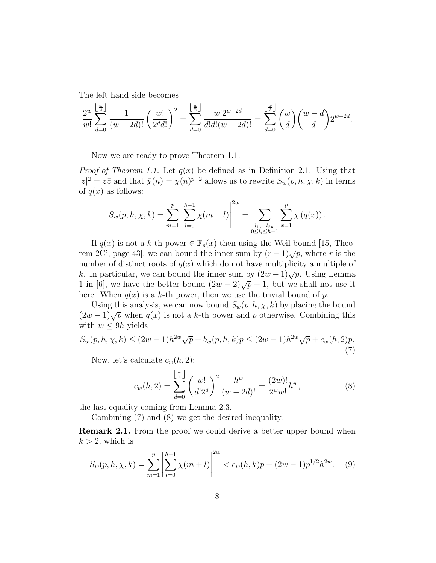The left hand side becomes

$$
\frac{2^w}{w!} \sum_{d=0}^{\lfloor \frac{w}{2} \rfloor} \frac{1}{(w-2d)!} \left(\frac{w!}{2^d d!}\right)^2 = \sum_{d=0}^{\lfloor \frac{w}{2} \rfloor} \frac{w! 2^{w-2d}}{d! d! (w-2d)!} = \sum_{d=0}^{\lfloor \frac{w}{2} \rfloor} {w \choose d} {w-d \choose d} 2^{w-2d}.
$$

Now we are ready to prove Theorem 1.1.

*Proof of Theorem 1.1.* Let  $q(x)$  be defined as in Definition 2.1. Using that  $|z|^2 = z\overline{z}$  and that  $\overline{\chi}(n) = \chi(n)^{p-2}$  allows us to rewrite  $S_w(p, h, \chi, k)$  in terms of  $q(x)$  as follows:

$$
S_w(p, h, \chi, k) = \sum_{m=1}^p \left| \sum_{l=0}^{h-1} \chi(m+l) \right|^{2w} = \sum_{\substack{l_1, \dots, l_{2w} \\ 0 \le l_i \le h-1}} \sum_{x=1}^p \chi(q(x)).
$$

If  $q(x)$  is not a k-th power  $\in \mathbb{F}_p(x)$  then using the Weil bound [15, Theorem 2C', page 43], we can bound the inner sum by  $(r-1)\sqrt{p}$ , where r is the number of distinct roots of  $q(x)$  which do not have multiplicity a multiple of k. In particular, we can bound the inner sum by  $(2w-1)\sqrt{p}$ . Using Lemma 1 in [6], we have the better bound  $(2w-2)\sqrt{p}+1$ , but we shall not use it here. When  $q(x)$  is a k-th power, then we use the trivial bound of p.

Using this analysis, we can now bound  $S_w(p, h, \chi, k)$  by placing the bound  $(2w-1)\sqrt{p}$  when  $q(x)$  is not a k-th power and p otherwise. Combining this with  $w \leq 9h$  yields

$$
S_w(p, h, \chi, k) \le (2w - 1)h^{2w}\sqrt{p} + b_w(p, h, k)p \le (2w - 1)h^{2w}\sqrt{p} + c_w(h, 2)p.
$$
\n(7)

Now, let's calculate  $c_w(h, 2)$ :

$$
c_w(h,2) = \sum_{d=0}^{\left\lfloor \frac{w}{2} \right\rfloor} \left(\frac{w!}{d!2^d}\right)^2 \frac{h^w}{(w-2d)!} = \frac{(2w)!}{2^w w!} h^w,
$$
\n(8)

the last equality coming from Lemma 2.3.

Combining (7) and (8) we get the desired inequality.  $\Box$ 

Remark 2.1. From the proof we could derive a better upper bound when  $k > 2$ , which is

$$
S_w(p, h, \chi, k) = \sum_{m=1}^p \left| \sum_{l=0}^{h-1} \chi(m+l) \right|^{2w} < c_w(h, k)p + (2w - 1)p^{1/2}h^{2w}.
$$
 (9)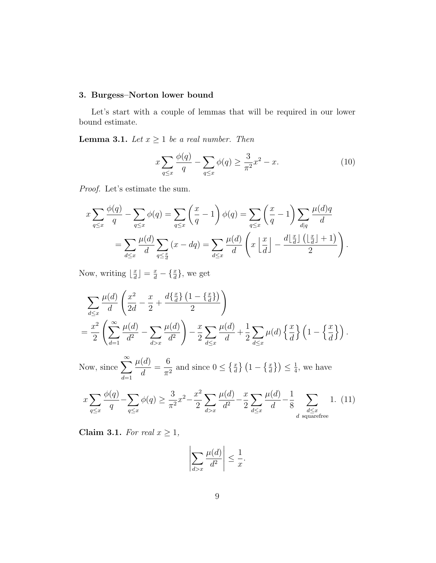# 3. Burgess–Norton lower bound

Let's start with a couple of lemmas that will be required in our lower bound estimate.

**Lemma 3.1.** Let  $x \ge 1$  be a real number. Then

$$
x\sum_{q\leq x} \frac{\phi(q)}{q} - \sum_{q\leq x} \phi(q) \geq \frac{3}{\pi^2} x^2 - x.
$$
 (10)

Proof. Let's estimate the sum.

$$
x \sum_{q \le x} \frac{\phi(q)}{q} - \sum_{q \le x} \phi(q) = \sum_{q \le x} \left(\frac{x}{q} - 1\right) \phi(q) = \sum_{q \le x} \left(\frac{x}{q} - 1\right) \sum_{d|q} \frac{\mu(d)q}{d}
$$

$$
= \sum_{d \le x} \frac{\mu(d)}{d} \sum_{q \le \frac{x}{d}} (x - dq) = \sum_{d \le x} \frac{\mu(d)}{d} \left(x \left\lfloor \frac{x}{d} \right\rfloor - \frac{d \left\lfloor \frac{x}{d} \right\rfloor \left(\left\lfloor \frac{x}{d} \right\rfloor + 1\right)}{2}\right).
$$

Now, writing  $\frac{x}{d}$  $\left[\frac{x}{d}\right] = \frac{x}{d} - \left\{\frac{x}{d}\right\}$ , we get

$$
\sum_{d\leq x} \frac{\mu(d)}{d} \left( \frac{x^2}{2d} - \frac{x}{2} + \frac{d\{\frac{x}{d}\} \left(1 - \{\frac{x}{d}\}\right)}{2} \right)
$$
  
= 
$$
\frac{x^2}{2} \left( \sum_{d=1}^{\infty} \frac{\mu(d)}{d^2} - \sum_{d>x} \frac{\mu(d)}{d^2} \right) - \frac{x}{2} \sum_{d\leq x} \frac{\mu(d)}{d} + \frac{1}{2} \sum_{d\leq x} \mu(d) \left\{\frac{x}{d}\right\} \left(1 - \left\{\frac{x}{d}\right\}\right).
$$

Now, since  $\sum_{n=1}^{\infty}$  $d=1$  $\mu(d)$ d = 6  $\frac{0}{\pi^2}$  and since  $0 \leq \left\{ \frac{x}{d} \right\} \left( 1 - \left\{ \frac{x}{d} \right\} \right) \leq \frac{1}{4}$  $\frac{1}{4}$ , we have

$$
x\sum_{q\leq x}\frac{\phi(q)}{q} - \sum_{q\leq x}\phi(q) \geq \frac{3}{\pi^2}x^2 - \frac{x^2}{2}\sum_{d>x}\frac{\mu(d)}{d^2} - \frac{x}{2}\sum_{d\leq x}\frac{\mu(d)}{d} - \frac{1}{8}\sum_{\substack{d\leq x\\d \text{ squarefree}}}1. \tag{11}
$$

Claim 3.1. For real  $x \geq 1$ ,

$$
\left|\sum_{d>x}\frac{\mu(d)}{d^2}\right| \le \frac{1}{x}.
$$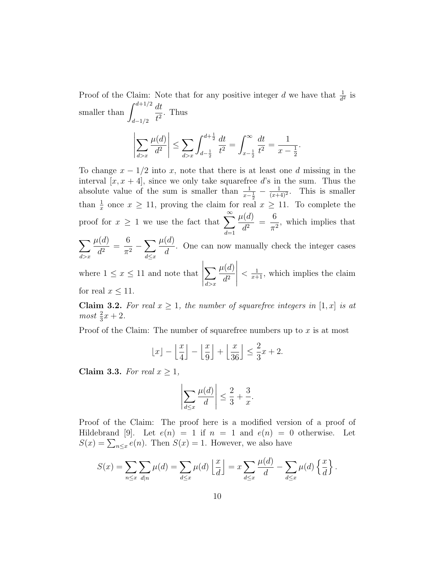Proof of the Claim: Note that for any positive integer d we have that  $\frac{1}{d^2}$  is smaller than  $\int^{d+1/2}$  $d - 1/2$ dt  $\frac{du}{t^2}$ . Thus

$$
\left| \sum_{d>x} \frac{\mu(d)}{d^2} \right| \le \sum_{d>x} \int_{d-\frac{1}{2}}^{d+\frac{1}{2}} \frac{dt}{t^2} = \int_{x-\frac{1}{2}}^{\infty} \frac{dt}{t^2} = \frac{1}{x-\frac{1}{2}}.
$$

To change  $x - 1/2$  into x, note that there is at least one d missing in the interval  $[x, x + 4]$ , since we only take squarefree d's in the sum. Thus the absolute value of the sum is smaller than  $\frac{1}{x-\frac{1}{2}} - \frac{1}{(x+\frac{1}{2})}$  $\frac{1}{(x+4)^2}$ . This is smaller than  $\frac{1}{x}$  once  $x \ge 11$ , proving the claim for real  $x \ge 11$ . To complete the proof for  $x \geq 1$  we use the fact that  $\sum_{n=1}^{\infty}$  $d=1$  $\mu(d)$  $\frac{d^{2}}{d^{2}} =$ 6  $\frac{0}{\pi^2}$ , which implies that  $\sum$  $d > x$  $\mu(d)$  $\frac{d^{2}}{d^{2}} =$ 6  $\frac{0}{\pi^2}$  –  $\sum_{k}$  $d \leq x$  $\mu(d)$ d . One can now manually check the integer cases  $\mu(d)$ 

where  $1 \leq x \leq 11$  and note that  $\sum$  $d > x$  $d^2$   $\langle \frac{1}{x+1}, \text{ which implies the claim}$ for real  $x \leq 11$ .

**Claim 3.2.** For real  $x \geq 1$ , the number of squarefree integers in  $[1, x]$  is at  $most \frac{2}{3}x + 2.$ 

Proof of the Claim: The number of squarefree numbers up to  $x$  is at most

$$
\lfloor x \rfloor - \left\lfloor \frac{x}{4} \right\rfloor - \left\lfloor \frac{x}{9} \right\rfloor + \left\lfloor \frac{x}{36} \right\rfloor \le \frac{2}{3}x + 2.
$$

Claim 3.3. For real  $x \geq 1$ ,

$$
\left|\sum_{d\leq x}\frac{\mu(d)}{d}\right|\leq \frac{2}{3}+\frac{3}{x}.
$$

Proof of the Claim: The proof here is a modified version of a proof of Hildebrand [9]. Let  $e(n) = 1$  if  $n = 1$  and  $e(n) = 0$  otherwise. Let  $S(x) = \sum_{n \leq x} e(n)$ . Then  $S(x) = 1$ . However, we also have

$$
S(x) = \sum_{n \leq x} \sum_{d|n} \mu(d) = \sum_{d \leq x} \mu(d) \left\lfloor \frac{x}{d} \right\rfloor = x \sum_{d \leq x} \frac{\mu(d)}{d} - \sum_{d \leq x} \mu(d) \left\{ \frac{x}{d} \right\}.
$$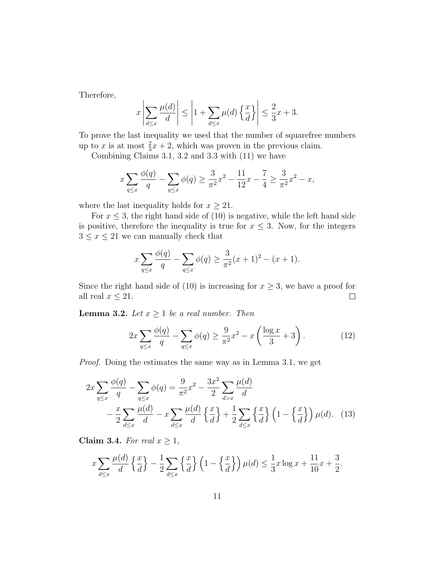Therefore,

$$
x\left|\sum_{d\leq x}\frac{\mu(d)}{d}\right| \leq \left|1 + \sum_{d\leq x}\mu(d)\left\{\frac{x}{d}\right\}\right| \leq \frac{2}{3}x + 3.
$$

To prove the last inequality we used that the number of squarefree numbers up to x is at most  $\frac{2}{3}x + 2$ , which was proven in the previous claim.

Combining Claims 3.1, 3.2 and 3.3 with (11) we have

$$
x\sum_{q\leq x}\frac{\phi(q)}{q} - \sum_{q\leq x}\phi(q) \geq \frac{3}{\pi^2}x^2 - \frac{11}{12}x - \frac{7}{4} \geq \frac{3}{\pi^2}x^2 - x,
$$

where the last inequality holds for  $x \geq 21$ .

For  $x \leq 3$ , the right hand side of (10) is negative, while the left hand side is positive, therefore the inequality is true for  $x \leq 3$ . Now, for the integers  $3 \leq x \leq 21$  we can manually check that

$$
x\sum_{q\leq x}\frac{\phi(q)}{q} - \sum_{q\leq x}\phi(q) \geq \frac{3}{\pi^2}(x+1)^2 - (x+1).
$$

Since the right hand side of (10) is increasing for  $x \geq 3$ , we have a proof for all real  $x \leq 21$ .  $\Box$ 

**Lemma 3.2.** Let  $x \geq 1$  be a real number. Then

$$
2x \sum_{q \le x} \frac{\phi(q)}{q} - \sum_{q \le x} \phi(q) \ge \frac{9}{\pi^2} x^2 - x \left( \frac{\log x}{3} + 3 \right). \tag{12}
$$

Proof. Doing the estimates the same way as in Lemma 3.1, we get

$$
2x\sum_{q\leq x}\frac{\phi(q)}{q} - \sum_{q\leq x}\phi(q) = \frac{9}{\pi^2}x^2 - \frac{3x^2}{2}\sum_{d>x}\frac{\mu(d)}{d}
$$

$$
-\frac{x}{2}\sum_{d\leq x}\frac{\mu(d)}{d} - x\sum_{d\leq x}\frac{\mu(d)}{d}\left\{\frac{x}{d}\right\} + \frac{1}{2}\sum_{d\leq x}\left\{\frac{x}{d}\right\}\left(1 - \left\{\frac{x}{d}\right\}\right)\mu(d). \quad (13)
$$

Claim 3.4. For real  $x \geq 1$ ,

$$
x\sum_{d\leq x}\frac{\mu(d)}{d}\left\{\frac{x}{d}\right\}-\frac{1}{2}\sum_{d\leq x}\left\{\frac{x}{d}\right\}\left(1-\left\{\frac{x}{d}\right\}\right)\mu(d)\leq \frac{1}{3}x\log x+\frac{11}{10}x+\frac{3}{2}.
$$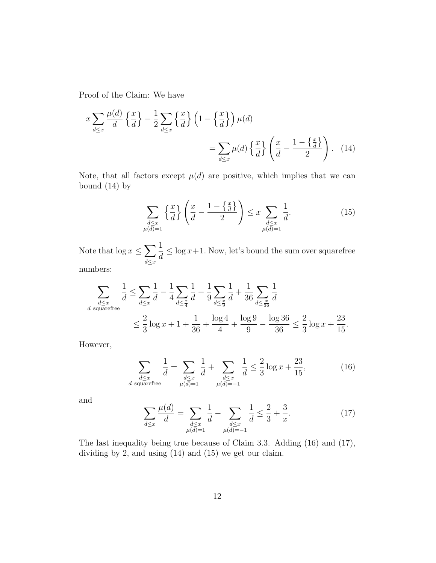Proof of the Claim: We have

$$
x \sum_{d \le x} \frac{\mu(d)}{d} \left\{ \frac{x}{d} \right\} - \frac{1}{2} \sum_{d \le x} \left\{ \frac{x}{d} \right\} \left( 1 - \left\{ \frac{x}{d} \right\} \right) \mu(d)
$$

$$
= \sum_{d \le x} \mu(d) \left\{ \frac{x}{d} \right\} \left( \frac{x}{d} - \frac{1 - \left\{ \frac{x}{d} \right\}}{2} \right). \tag{14}
$$

Note, that all factors except  $\mu(d)$  are positive, which implies that we can bound  $(14)$  by

$$
\sum_{\substack{d \le x \\ \mu(d)=1}} \left\{ \frac{x}{d} \right\} \left( \frac{x}{d} - \frac{1 - \left\{ \frac{x}{d} \right\}}{2} \right) \le x \sum_{\substack{d \le x \\ \mu(d)=1}} \frac{1}{d}.
$$
\n(15)

Note that  $\log x \leq \sum$  $d \leq x$ 1 d  $\leq$  log  $x+1$ . Now, let's bound the sum over squarefree

numbers:

$$
\sum_{\substack{d \le x \\ d \text{ squarefree}}} \frac{1}{d} \le \sum_{d \le x} \frac{1}{d} - \frac{1}{4} \sum_{d \le \frac{x}{4}} \frac{1}{d} - \frac{1}{9} \sum_{d \le \frac{x}{9}} \frac{1}{d} + \frac{1}{36} \sum_{d \le \frac{x}{36}} \frac{1}{d}
$$
\n
$$
\le \frac{2}{3} \log x + 1 + \frac{1}{36} + \frac{\log 4}{4} + \frac{\log 9}{9} - \frac{\log 36}{36} \le \frac{2}{3} \log x + \frac{23}{15}.
$$

However,

$$
\sum_{\substack{d \le x \\ d \text{ squarefree}}} \frac{1}{d} = \sum_{\substack{d \le x \\ \mu(d) = 1}} \frac{1}{d} + \sum_{\substack{d \le x \\ \mu(d) = -1}} \frac{1}{d} \le \frac{2}{3} \log x + \frac{23}{15},\tag{16}
$$

and

$$
\sum_{d \le x} \frac{\mu(d)}{d} = \sum_{\substack{d \le x \\ \mu(d) = 1}} \frac{1}{d} - \sum_{\substack{d \le x \\ \mu(d) = -1}} \frac{1}{d} \le \frac{2}{3} + \frac{3}{x}.
$$
 (17)

The last inequality being true because of Claim 3.3. Adding (16) and (17), dividing by 2, and using (14) and (15) we get our claim.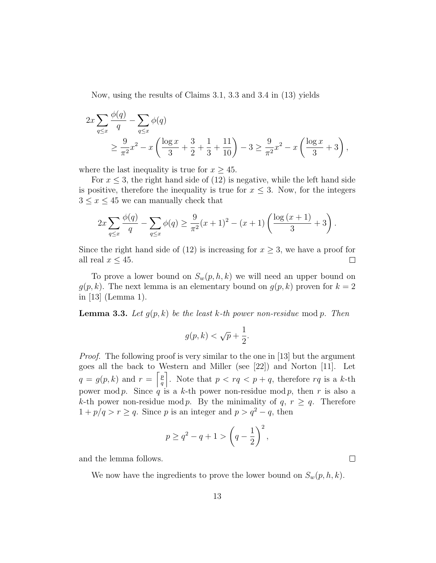Now, using the results of Claims 3.1, 3.3 and 3.4 in (13) yields

$$
2x \sum_{q \le x} \frac{\phi(q)}{q} - \sum_{q \le x} \phi(q)
$$
  
 
$$
\ge \frac{9}{\pi^2} x^2 - x \left( \frac{\log x}{3} + \frac{3}{2} + \frac{1}{3} + \frac{11}{10} \right) - 3 \ge \frac{9}{\pi^2} x^2 - x \left( \frac{\log x}{3} + 3 \right),
$$

where the last inequality is true for  $x \geq 45$ .

For  $x \leq 3$ , the right hand side of (12) is negative, while the left hand side is positive, therefore the inequality is true for  $x \leq 3$ . Now, for the integers  $3 \leq x \leq 45$  we can manually check that

$$
2x\sum_{q\leq x}\frac{\phi(q)}{q} - \sum_{q\leq x}\phi(q) \geq \frac{9}{\pi^2}(x+1)^2 - (x+1)\left(\frac{\log(x+1)}{3} + 3\right).
$$

Since the right hand side of (12) is increasing for  $x \geq 3$ , we have a proof for all real  $x \leq 45$ .  $\Box$ 

To prove a lower bound on  $S_w(p, h, k)$  we will need an upper bound on  $g(p, k)$ . The next lemma is an elementary bound on  $g(p, k)$  proven for  $k = 2$ in [13] (Lemma 1).

**Lemma 3.3.** Let  $g(p, k)$  be the least k-th power non-residue mod p. Then

$$
g(p,k) < \sqrt{p} + \frac{1}{2}.
$$

Proof. The following proof is very similar to the one in [13] but the argument goes all the back to Western and Miller (see [22]) and Norton [11]. Let  $q = g(p, k)$  and  $r = \left[\frac{p}{q}\right]$  $\left\lfloor \frac{p}{q} \right\rfloor$ . Note that  $p < rq < p + q$ , therefore rq is a k-th power mod p. Since q is a k-th power non-residue mod p, then r is also a k-th power non-residue mod p. By the minimality of  $q, r \geq q$ . Therefore  $1 + p/q > r \geq q$ . Since p is an integer and  $p > q^2 - q$ , then

$$
p \ge q^2 - q + 1 > \left(q - \frac{1}{2}\right)^2,
$$

and the lemma follows.

We now have the ingredients to prove the lower bound on  $S_w(p, h, k)$ .

 $\Box$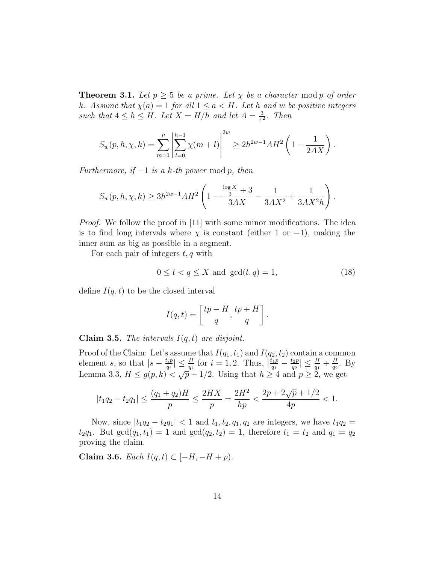**Theorem 3.1.** Let  $p \geq 5$  be a prime. Let  $\chi$  be a character mod p of order k. Assume that  $\chi(a) = 1$  for all  $1 \le a \le H$ . Let h and w be positive integers such that  $4 \leq h \leq H$ . Let  $X = H/h$  and let  $A = \frac{3}{\pi h}$  $\frac{3}{\pi^2}$ . Then

$$
S_w(p, h, \chi, k) = \sum_{m=1}^p \left| \sum_{l=0}^{h-1} \chi(m+l) \right|^{2w} \ge 2h^{2w-1} AH^2 \left( 1 - \frac{1}{2AX} \right).
$$

Furthermore, if  $-1$  is a k-th power mod p, then

$$
S_w(p, h, \chi, k) \ge 3h^{2w-1}AH^2\left(1 - \frac{\frac{\log X}{3} + 3}{3AX} - \frac{1}{3AX^2} + \frac{1}{3AX^2h}\right).
$$

*Proof.* We follow the proof in [11] with some minor modifications. The idea is to find long intervals where  $\chi$  is constant (either 1 or -1), making the inner sum as big as possible in a segment.

For each pair of integers  $t, q$  with

$$
0 \le t < q \le X \text{ and } \gcd(t, q) = 1,\tag{18}
$$

define  $I(q,t)$  to be the closed interval

$$
I(q,t) = \left[\frac{tp - H}{q}, \frac{tp + H}{q}\right].
$$

**Claim 3.5.** The intervals  $I(q, t)$  are disjoint.

Proof of the Claim: Let's assume that  $I(q_1, t_1)$  and  $I(q_2, t_2)$  contain a common element s, so that  $|s - \frac{t_i p}{a_i}|$  $\left|\frac{t_ip}{q_i}\right| \leq \frac{H}{q_i}$  for  $i = 1, 2$ . Thus,  $\left|\frac{t_1p}{q_1}\right|$  $\frac{t_1p}{q_1}-\frac{t_2p}{q_2}$  $\left|\frac{dp}{q_2}\right| \leq \frac{H}{q_1} + \frac{H}{q_2}$  $\frac{H}{q_2}$ . By Lemma 3.3,  $H \leq g(p, k) < \sqrt{p} + 1/2$ . Using that  $h \geq 4$  and  $p \geq 2$ , we get

$$
|t_1q_2 - t_2q_1| \le \frac{(q_1 + q_2)H}{p} \le \frac{2HX}{p} = \frac{2H^2}{hp} < \frac{2p + 2\sqrt{p} + 1/2}{4p} < 1.
$$

Now, since  $|t_1q_2 - t_2q_1| < 1$  and  $t_1, t_2, q_1, q_2$  are integers, we have  $t_1q_2 =$  $t_2q_1$ . But  $gcd(q_1, t_1) = 1$  and  $gcd(q_2, t_2) = 1$ , therefore  $t_1 = t_2$  and  $q_1 = q_2$ proving the claim.

Claim 3.6. Each  $I(q, t)$  ⊂  $[-H, -H + p)$ .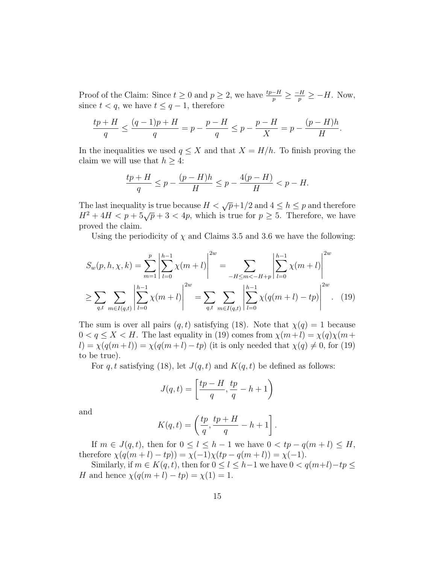Proof of the Claim: Since  $t \geq 0$  and  $p \geq 2$ , we have  $\frac{tp-H}{p} \geq \frac{-H}{p} \geq -H$ . Now, since  $t < q$ , we have  $t \leq q - 1$ , therefore

$$
\frac{tp+H}{q} \le \frac{(q-1)p+H}{q} = p - \frac{p-H}{q} \le p - \frac{p-H}{X} = p - \frac{(p-H)h}{H}.
$$

In the inequalities we used  $q \leq X$  and that  $X = H/h$ . To finish proving the claim we will use that  $h \geq 4$ :

$$
\frac{tp + H}{q} \le p - \frac{(p - H)h}{H} \le p - \frac{4(p - H)}{H} < p - H.
$$

The last inequality is true because  $H < \sqrt{p}+1/2$  and  $4 \leq h \leq p$  and therefore  $H^2 + 4H < p + 5\sqrt{p} + 3 < 4p$ , which is true for  $p \ge 5$ . Therefore, we have proved the claim.

Using the periodicity of  $\chi$  and Claims 3.5 and 3.6 we have the following:

$$
S_w(p, h, \chi, k) = \sum_{m=1}^p \left| \sum_{l=0}^{h-1} \chi(m+l) \right|^{2w} = \sum_{-H \le m < -H+p} \left| \sum_{l=0}^{h-1} \chi(m+l) \right|^{2w}
$$
  

$$
\ge \sum_{q, t} \sum_{m \in I(q, t)} \left| \sum_{l=0}^{h-1} \chi(m+l) \right|^{2w} = \sum_{q, t} \sum_{m \in I(q, t)} \left| \sum_{l=0}^{h-1} \chi(q(m+l) - tp) \right|^{2w}.
$$
 (19)

The sum is over all pairs  $(q, t)$  satisfying (18). Note that  $\chi(q) = 1$  because  $0 < q \le X < H$ . The last equality in (19) comes from  $\chi(m+l) = \chi(q)\chi(m+l)$  $l) = \chi(q(m+l)) = \chi(q(m+l) - tp)$  (it is only needed that  $\chi(q) \neq 0$ , for (19) to be true).

For q, t satisfying (18), let  $J(q, t)$  and  $K(q, t)$  be defined as follows:

$$
J(q,t) = \left[\frac{tp - H}{q}, \frac{tp}{q} - h + 1\right)
$$

and

$$
K(q,t)=\left(\frac{tp}{q},\frac{tp+H}{q}-h+1\right].
$$

If  $m \in J(q,t)$ , then for  $0 \leq l \leq h-1$  we have  $0 < tp - q(m+l) \leq H$ , therefore  $\chi(q(m+l)-tp)) = \chi(-1)\chi(tp-q(m+l)) = \chi(-1).$ 

Similarly, if  $m \in K(q, t)$ , then for  $0 \leq l \leq h-1$  we have  $0 < q(m+l)-tp \leq$ H and hence  $\chi(q(m + l) - tp) = \chi(1) = 1$ .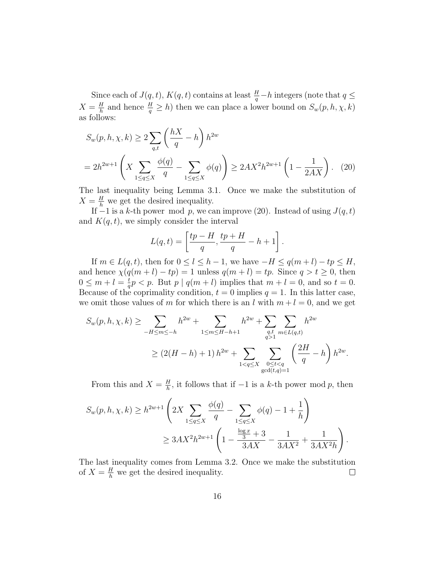Since each of  $J(q,t)$ ,  $K(q,t)$  contains at least  $\frac{H}{q}-h$  integers (note that  $q \leq$  $X=\frac{H}{h}$  $\frac{H}{h}$  and hence  $\frac{H}{q} \geq h$ ) then we can place a lower bound on  $S_w(p, h, \chi, k)$ as follows:

$$
S_w(p, h, \chi, k) \ge 2 \sum_{q,t} \left(\frac{hX}{q} - h\right) h^{2w}
$$
  
=  $2h^{2w+1} \left(X \sum_{1 \le q \le X} \frac{\phi(q)}{q} - \sum_{1 \le q \le X} \phi(q)\right) \ge 2AX^2 h^{2w+1} \left(1 - \frac{1}{2AX}\right).$  (20)

The last inequality being Lemma 3.1. Once we make the substitution of  $X = \frac{H}{h}$  we get the desired inequality.

If  $-1$  is a k-th power mod p, we can improve (20). Instead of using  $J(q, t)$ and  $K(q, t)$ , we simply consider the interval

$$
L(q,t) = \left[\frac{tp-H}{q}, \frac{tp+H}{q} - h + 1\right].
$$

If  $m \in L(q, t)$ , then for  $0 \leq l \leq h - 1$ , we have  $-H \leq q(m + l) - tp \leq H$ , and hence  $\chi(q(m+l)-tp) = 1$  unless  $q(m+l) = tp$ . Since  $q > t \geq 0$ , then  $0\leq m+l=\frac{t}{a}$  $\frac{t}{q}p < p$ . But  $p \mid q(m+l)$  implies that  $m+l=0$ , and so  $t=0$ . Because of the coprimality condition,  $t = 0$  implies  $q = 1$ . In this latter case, we omit those values of m for which there is an l with  $m + l = 0$ , and we get

$$
S_w(p, h, \chi, k) \ge \sum_{-H \le m \le -h} h^{2w} + \sum_{1 \le m \le H-h+1} h^{2w} + \sum_{\substack{q, t \\ q>1}} \sum_{m \in L(q, t)} h^{2w}
$$
  
 
$$
\ge (2(H-h) + 1) h^{2w} + \sum_{1 < q \le X} \sum_{\substack{0 \le t < q \\ \gcd(t, q) = 1}} \left(\frac{2H}{q} - h\right) h^{2w}.
$$

From this and  $X = \frac{H}{h}$  $\frac{H}{h}$ , it follows that if  $-1$  is a k-th power mod p, then

$$
S_w(p, h, \chi, k) \ge h^{2w+1} \left( 2X \sum_{1 \le q \le X} \frac{\phi(q)}{q} - \sum_{1 \le q \le X} \phi(q) - 1 + \frac{1}{h} \right)
$$
  
 
$$
\ge 3AX^2 h^{2w+1} \left( 1 - \frac{\frac{\log x}{3} + 3}{3AX} - \frac{1}{3AX^2} + \frac{1}{3AX^2h} \right).
$$

The last inequality comes from Lemma 3.2. Once we make the substitution of  $X = \frac{H}{h}$  we get the desired inequality.  $\Box$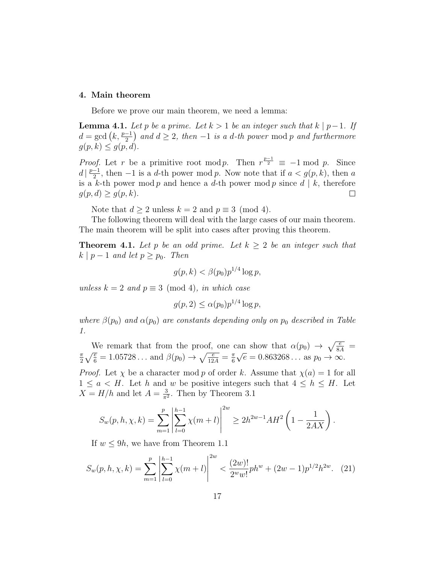#### 4. Main theorem

Before we prove our main theorem, we need a lemma:

**Lemma 4.1.** Let p be a prime. Let  $k > 1$  be an integer such that  $k \mid p-1$ . If  $d = \gcd(k, \frac{p-1}{2})$  and  $d \ge 2$ , then  $-1$  is a d-th power mod p and furthermore  $g(p, k) \leq g(p, d)$ .

*Proof.* Let r be a primitive root mod p. Then  $r^{\frac{p-1}{2}} \equiv -1 \mod p$ . Since  $d\left|\frac{p-1}{2}\right|$  $\frac{-1}{2}$ , then −1 is a d-th power mod p. Now note that if  $a < g(p, k)$ , then a is a k-th power mod p and hence a d-th power mod p since  $d | k$ , therefore  $g(p,d) \geq g(p,k).$  $\Box$ 

Note that  $d \geq 2$  unless  $k = 2$  and  $p \equiv 3 \pmod{4}$ .

The following theorem will deal with the large cases of our main theorem. The main theorem will be split into cases after proving this theorem.

**Theorem 4.1.** Let p be an odd prime. Let  $k \geq 2$  be an integer such that  $k \mid p-1$  and let  $p \geq p_0$ . Then

$$
g(p,k) < \beta(p_0)p^{1/4}\log p,
$$

unless  $k = 2$  and  $p \equiv 3 \pmod{4}$ , in which case

$$
g(p, 2) \le \alpha(p_0) p^{1/4} \log p,
$$

where  $\beta(p_0)$  and  $\alpha(p_0)$  are constants depending only on  $p_0$  described in Table 1.

We remark that from the proof, one can show that  $\alpha(p_0) \rightarrow \sqrt{\frac{e}{8A}}$ π  $\frac{\pi}{2}\sqrt{\frac{e}{6}} = 1.05728...$  and  $\beta(p_0) \rightarrow \sqrt{\frac{e}{12A}} = \frac{\pi}{6}$ 6 √  $\overline{e} = 0.863268...$  as  $p_0 \rightarrow \infty$ .

*Proof.* Let  $\chi$  be a character mod p of order k. Assume that  $\chi(a) = 1$  for all  $1 \le a \le H$ . Let h and w be positive integers such that  $4 \le h \le H$ . Let  $X = H/h$  and let  $A = \frac{3}{\pi^2}$  $\frac{3}{\pi^2}$ . Then by Theorem 3.1

$$
S_w(p, h, \chi, k) = \sum_{m=1}^p \left| \sum_{l=0}^{h-1} \chi(m+l) \right|^{2w} \ge 2h^{2w-1} AH^2 \left( 1 - \frac{1}{2AX} \right).
$$

If  $w \leq 9h$ , we have from Theorem 1.1

$$
S_w(p, h, \chi, k) = \sum_{m=1}^p \left| \sum_{l=0}^{h-1} \chi(m+l) \right|^{2w} < \frac{(2w)!}{2^w w!} ph^w + (2w-1)p^{1/2} h^{2w}.\tag{21}
$$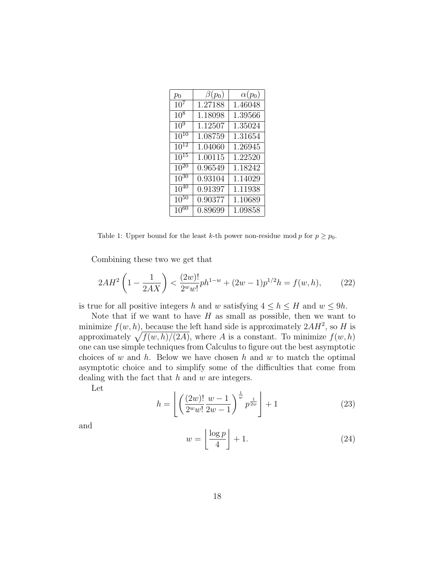| $p_0$                         | $\beta(p_0)$         | $\alpha(p_0)$ |
|-------------------------------|----------------------|---------------|
| $10^{7}$                      | 1.27188              | 1.46048       |
| $10^{8}$                      | 1.18098              | 1.39566       |
| 10 <sup>9</sup>               | 1.12507              | 1.35024       |
| $10^{10}$                     | 1.08759              | 1.31654       |
| $\overline{10}$ <sup>12</sup> | 1.04060              | 1.26945       |
| $\overline{10}^{15}$          | $\overline{1.00115}$ | 1.22520       |
| $\overline{10^{20}}$          | 0.96549              | 1.18242       |
| $10^{30}$                     | 0.93104              | 1.14029       |
| $10^{40}$                     | $\overline{0.91397}$ | 1.11938       |
| $10^{50}$                     | $\overline{0.9}0377$ | 1.10689       |
| $10^{60}$                     | 0.89699              | 1.09858       |

Table 1: Upper bound for the least k-th power non-residue mod p for  $p \geq p_0$ .

Combining these two we get that

$$
2AH^2\left(1-\frac{1}{2AX}\right) < \frac{(2w)!}{2^w w!} ph^{1-w} + (2w-1)p^{1/2}h = f(w,h),\tag{22}
$$

is true for all positive integers h and w satisfying  $4 \le h \le H$  and  $w \le 9h$ .

Note that if we want to have  $H$  as small as possible, then we want to minimize  $f(w, h)$ , because the left hand side is approximately  $2AH^2$ , so H is approximately  $\sqrt{f(w, h)/(2A)}$ , where A is a constant. To minimize  $f(w, h)$ one can use simple techniques from Calculus to figure out the best asymptotic choices of w and h. Below we have chosen h and w to match the optimal asymptotic choice and to simplify some of the difficulties that come from dealing with the fact that  $h$  and  $w$  are integers.

Let

$$
h = \left\lfloor \left( \frac{(2w)!}{2^w w!} \frac{w-1}{2w-1} \right)^{\frac{1}{w}} p^{\frac{1}{2w}} \right\rfloor + 1 \tag{23}
$$

and

$$
w = \left\lfloor \frac{\log p}{4} \right\rfloor + 1. \tag{24}
$$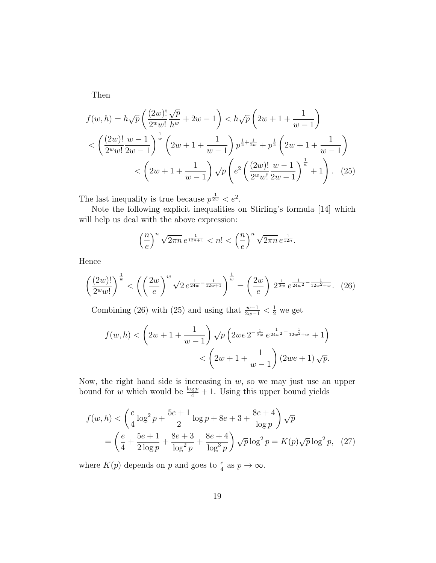Then

$$
f(w, h) = h\sqrt{p} \left( \frac{(2w)!}{2^w w!} \frac{\sqrt{p}}{h^w} + 2w - 1 \right) < h\sqrt{p} \left( 2w + 1 + \frac{1}{w - 1} \right)
$$
  

$$
< \left( \frac{(2w)!}{2^w w!} \frac{w - 1}{2w - 1} \right)^{\frac{1}{w}} \left( 2w + 1 + \frac{1}{w - 1} \right) p^{\frac{1}{2} + \frac{1}{2w}} + p^{\frac{1}{2}} \left( 2w + 1 + \frac{1}{w - 1} \right)
$$
  

$$
< \left( 2w + 1 + \frac{1}{w - 1} \right) \sqrt{p} \left( e^2 \left( \frac{(2w)!}{2^w w!} \frac{w - 1}{2w - 1} \right)^{\frac{1}{w}} + 1 \right). \tag{25}
$$

The last inequality is true because  $p^{\frac{1}{2w}} < e^2$ .

Note the following explicit inequalities on Stirling's formula [14] which will help us deal with the above expression:

$$
\left(\frac{n}{e}\right)^n \sqrt{2\pi n} e^{\frac{1}{12n+1}} < n! < \left(\frac{n}{e}\right)^n \sqrt{2\pi n} e^{\frac{1}{12n}}.
$$

Hence

$$
\left(\frac{(2w)!}{2^w w!}\right)^{\frac{1}{w}} < \left(\left(\frac{2w}{e}\right)^w \sqrt{2} \, e^{\frac{1}{24w} - \frac{1}{12w+1}}\right)^{\frac{1}{w}} = \left(\frac{2w}{e}\right) \, 2^{\frac{1}{2w}} \, e^{\frac{1}{24w^2} - \frac{1}{12w^2 + w}}.\tag{26}
$$

Combining (26) with (25) and using that  $\frac{w-1}{2w-1} < \frac{1}{2}$  we get

$$
f(w,h) < \left(2w+1+\frac{1}{w-1}\right)\sqrt{p}\left(2we^{\frac{1}{2-w}}e^{\frac{1}{24w^2}-\frac{1}{12w^2+w}}+1\right) < \left(2w+1+\frac{1}{w-1}\right)(2we+1)\sqrt{p}.
$$

Now, the right hand side is increasing in  $w$ , so we may just use an upper bound for w which would be  $\frac{\log p}{4} + 1$ . Using this upper bound yields

$$
f(w, h) < \left(\frac{e}{4}\log^2 p + \frac{5e+1}{2}\log p + 8e + 3 + \frac{8e+4}{\log p}\right)\sqrt{p}
$$
  
= 
$$
\left(\frac{e}{4} + \frac{5e+1}{2\log p} + \frac{8e+3}{\log^2 p} + \frac{8e+4}{\log^3 p}\right)\sqrt{p}\log^2 p = K(p)\sqrt{p}\log^2 p, (27)
$$

where  $K(p)$  depends on p and goes to  $\frac{e}{4}$  as  $p \to \infty$ .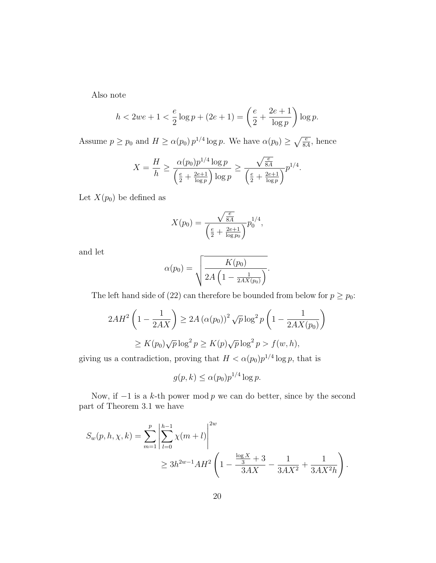Also note

$$
h < 2we + 1 < \frac{e}{2}\log p + (2e + 1) = \left(\frac{e}{2} + \frac{2e + 1}{\log p}\right)\log p.
$$

Assume  $p \ge p_0$  and  $H \ge \alpha(p_0) p^{1/4} \log p$ . We have  $\alpha(p_0) \ge \sqrt{\frac{e}{8A}}$ , hence

$$
X = \frac{H}{h} \ge \frac{\alpha(p_0)p^{1/4}\log p}{\left(\frac{e}{2} + \frac{2e+1}{\log p}\right)\log p} \ge \frac{\sqrt{\frac{e}{8A}}}{\left(\frac{e}{2} + \frac{2e+1}{\log p}\right)}p^{1/4}.
$$

Let  $X(p_0)$  be defined as

$$
X(p_0) = \frac{\sqrt{\frac{e}{8A}}}{\left(\frac{e}{2} + \frac{2e+1}{\log p_0}\right)} p_0^{1/4},
$$

and let

$$
\alpha(p_0) = \sqrt{\frac{K(p_0)}{2A\left(1 - \frac{1}{2AX(p_0)}\right)}}.
$$

The left hand side of (22) can therefore be bounded from below for  $p \ge p_0$ :

$$
2AH^2\left(1-\frac{1}{2AX}\right) \ge 2A\left(\alpha(p_0)\right)^2\sqrt{p}\log^2 p\left(1-\frac{1}{2AX(p_0)}\right)
$$
  
 
$$
\ge K(p_0)\sqrt{p}\log^2 p \ge K(p)\sqrt{p}\log^2 p > f(w,h),
$$

giving us a contradiction, proving that  $H < \alpha(p_0)p^{1/4}\log p$ , that is

$$
g(p,k) \le \alpha(p_0) p^{1/4} \log p.
$$

Now, if  $-1$  is a k-th power mod p we can do better, since by the second part of Theorem 3.1 we have

$$
S_w(p, h, \chi, k) = \sum_{m=1}^p \left| \sum_{l=0}^{h-1} \chi(m+l) \right|^{2w}
$$
  
 
$$
\geq 3h^{2w-1}AH^2 \left(1 - \frac{\frac{\log X}{3} + 3}{3AX^2} - \frac{1}{3AX^2} + \frac{1}{3AX^2h} \right).
$$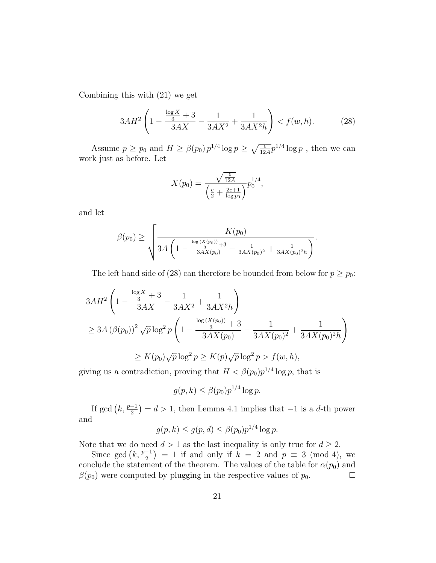Combining this with (21) we get

$$
3AH^2\left(1-\frac{\frac{\log X}{3}+3}{3AX}-\frac{1}{3AX^2}+\frac{1}{3AX^2h}\right) < f(w,h). \tag{28}
$$

Assume  $p \ge p_0$  and  $H \ge \beta(p_0) p^{1/4} \log p \ge \sqrt{\frac{e}{12A}} p^{1/4} \log p$ , then we can work just as before. Let

$$
X(p_0) = \frac{\sqrt{\frac{e}{12A}}}{\left(\frac{e}{2} + \frac{2e+1}{\log p_0}\right)} p_0^{1/4},
$$

and let

$$
\beta(p_0) \ge \sqrt{\frac{K(p_0)}{3A\left(1 - \frac{\frac{\log(X(p_0))}{3} + 3}{3AX(p_0)} - \frac{1}{3AX(p_0)^2} + \frac{1}{3AX(p_0)^2h}\right)}}.
$$

The left hand side of (28) can therefore be bounded from below for  $p \geq p_0$ :

$$
3AH^2 \left( 1 - \frac{\frac{\log X}{3} + 3}{3AX} - \frac{1}{3AX^2} + \frac{1}{3AX^2h} \right)
$$
  
\n
$$
\geq 3A \left( \beta(p_0) \right)^2 \sqrt{p} \log^2 p \left( 1 - \frac{\frac{\log \left( X(p_0) \right)}{3} + 3}{3AX(p_0)} - \frac{1}{3AX(p_0)^2} + \frac{1}{3AX(p_0)^2h} \right)
$$
  
\n
$$
\geq K(p_0) \sqrt{p} \log^2 p \geq K(p) \sqrt{p} \log^2 p > f(w, h),
$$

giving us a contradiction, proving that  $H < \beta(p_0)p^{1/4}\log p$ , that is

$$
g(p,k) \le \beta(p_0) p^{1/4} \log p.
$$

If gcd  $(k, \frac{p-1}{2}) = d > 1$ , then Lemma 4.1 implies that  $-1$  is a d-th power and

$$
g(p,k) \le g(p,d) \le \beta(p_0)p^{1/4}\log p.
$$

Note that we do need  $d > 1$  as the last inequality is only true for  $d \geq 2$ .

Since  $gcd(k, \frac{p-1}{2}) = 1$  if and only if  $k = 2$  and  $p \equiv 3 \pmod{4}$ , we conclude the statement of the theorem. The values of the table for  $\alpha(p_0)$  and  $\beta(p_0)$  were computed by plugging in the respective values of  $p_0$ .  $\Box$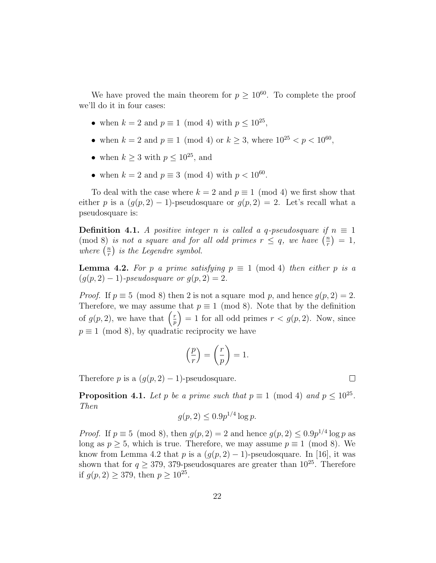We have proved the main theorem for  $p \geq 10^{60}$ . To complete the proof we'll do it in four cases:

- when  $k = 2$  and  $p \equiv 1 \pmod{4}$  with  $p \leq 10^{25}$ ,
- when  $k = 2$  and  $p \equiv 1 \pmod{4}$  or  $k \ge 3$ , where  $10^{25} < p < 10^{60}$ ,
- when  $k \geq 3$  with  $p \leq 10^{25}$ , and
- when  $k = 2$  and  $p \equiv 3 \pmod{4}$  with  $p < 10^{60}$ .

To deal with the case where  $k = 2$  and  $p \equiv 1 \pmod{4}$  we first show that either p is a  $(g(p, 2) - 1)$ -pseudosquare or  $g(p, 2) = 2$ . Let's recall what a pseudosquare is:

**Definition 4.1.** A positive integer n is called a q-pseudosquare if  $n \equiv 1$ (mod 8) is not a square and for all odd primes  $r \leq q$ , we have  $\left(\frac{n}{r}\right)$  $\frac{n}{r}$ ) = 1, where  $\left(\frac{n}{r}\right)$  $\binom{n}{r}$  is the Legendre symbol.

**Lemma 4.2.** For p a prime satisfying  $p \equiv 1 \pmod{4}$  then either p is a  $(g(p, 2) - 1)$ -pseudosquare or  $g(p, 2) = 2$ .

*Proof.* If  $p \equiv 5 \pmod{8}$  then 2 is not a square mod p, and hence  $g(p, 2) = 2$ . Therefore, we may assume that  $p \equiv 1 \pmod{8}$ . Note that by the definition of  $g(p, 2)$ , we have that  $\left(\frac{r}{p}\right)$  $\binom{r}{p}$  = 1 for all odd primes  $r < g(p, 2)$ . Now, since  $p \equiv 1 \pmod{8}$ , by quadratic reciprocity we have

$$
\left(\frac{p}{r}\right) = \left(\frac{r}{p}\right) = 1.
$$

Therefore p is a  $(g(p, 2) - 1)$ -pseudosquare.

**Proposition 4.1.** Let p be a prime such that  $p \equiv 1 \pmod{4}$  and  $p \leq 10^{25}$ . Then

$$
g(p, 2) \le 0.9p^{1/4} \log p.
$$

*Proof.* If  $p \equiv 5 \pmod{8}$ , then  $g(p, 2) = 2$  and hence  $g(p, 2) \leq 0.9p^{1/4} \log p$  as long as  $p \geq 5$ , which is true. Therefore, we may assume  $p \equiv 1 \pmod{8}$ . We know from Lemma 4.2 that p is a  $(g(p, 2) - 1)$ -pseudosquare. In [16], it was shown that for  $q \geq 379$ , 379-pseudosquares are greater than  $10^{25}$ . Therefore if  $g(p, 2) \ge 379$ , then  $p \ge 10^{25}$ .

 $\Box$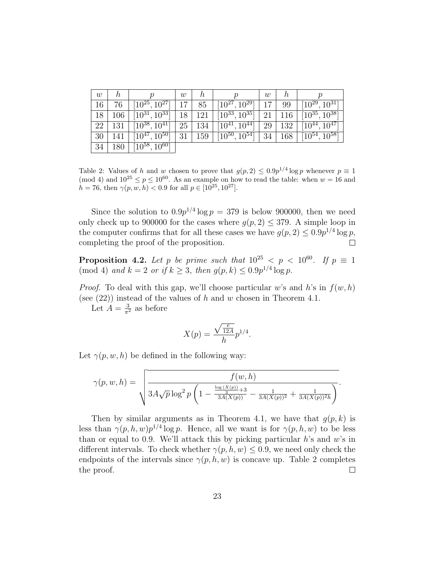| w  | n   | п                              | W  | n   | ŋ                    | w  | n   |                                |
|----|-----|--------------------------------|----|-----|----------------------|----|-----|--------------------------------|
| 16 | 76  | $[10^{25}, 10^{27}]$           |    | 85  | $[10^{27}, 10^{29}]$ |    | 99  | $[10^{29}, 10^{31}]$           |
| 18 | 106 | $\overline{[10^{31},10^{33}]}$ | 18 | 121 | $[10^{33}, 10^{35}]$ | 21 | 116 | $\overline{[10^{35},10^{38}]}$ |
| 22 | 131 | $[10^{38}, 10^{41}]$           | 25 | 134 | $[10^{41}, 10^{44}]$ | 29 | 132 | $[10^{44}, 10^{47}]$           |
| 30 | 141 | $[10^{47}, 10^{50}]$           | 31 | 159 | $[10^{50}, 10^{54}]$ | 34 | 168 | $[10^{54}, 10^{58}]$           |
| 34 | 180 | $[10^{58}, 10^{60}]$           |    |     |                      |    |     |                                |

Table 2: Values of h and w chosen to prove that  $g(p, 2) \leq 0.9p^{1/4} \log p$  whenever  $p \equiv 1$ (mod 4) and  $10^{25} \le p \le 10^{60}$ . As an example on how to read the table: when  $w = 16$  and  $h = 76$ , then  $\gamma(p, w, h) < 0.9$  for all  $p \in [10^{25}, 10^{27}]$ .

Since the solution to  $0.9p^{1/4}$  log  $p = 379$  is below 900000, then we need only check up to 900000 for the cases where  $g(p, 2) \leq 379$ . A simple loop in the computer confirms that for all these cases we have  $g(p, 2) \leq 0.9p^{1/4} \log p$ , completing the proof of the proposition.  $\Box$ 

**Proposition 4.2.** Let p be prime such that  $10^{25} < p < 10^{60}$ . If  $p \equiv 1$ (mod 4) and  $k = 2$  or if  $k \ge 3$ , then  $g(p, k) \le 0.9p^{1/4} \log p$ .

*Proof.* To deal with this gap, we'll choose particular w's and h's in  $f(w, h)$ (see  $(22)$ ) instead of the values of h and w chosen in Theorem 4.1.

Let  $A = \frac{3}{\pi^2}$  as before

$$
X(p) = \frac{\sqrt{\frac{e}{12A}}}{h} p^{1/4}.
$$

Let  $\gamma(p, w, h)$  be defined in the following way:

$$
\gamma(p, w, h) = \sqrt{\frac{f(w, h)}{3A\sqrt{p}\log^2 p\left(1 - \frac{\frac{\log(X(p))}{3} + 3}{3A(X(p))} - \frac{1}{3A(X(p))^2} + \frac{1}{3A(X(p))^2h}\right)}}.
$$

Then by similar arguments as in Theorem 4.1, we have that  $g(p, k)$  is less than  $\gamma(p, h, w)p^{1/4}\log p$ . Hence, all we want is for  $\gamma(p, h, w)$  to be less than or equal to 0.9. We'll attack this by picking particular  $h$ 's and  $w$ 's in different intervals. To check whether  $\gamma(p, h, w) \leq 0.9$ , we need only check the endpoints of the intervals since  $\gamma(p, h, w)$  is concave up. Table 2 completes the proof.  $\Box$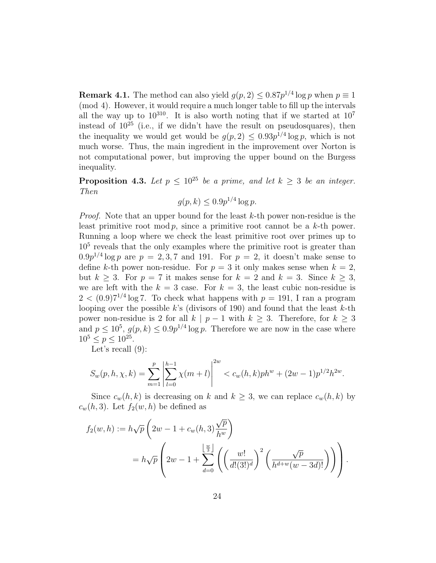**Remark 4.1.** The method can also yield  $g(p, 2) \leq 0.87p^{1/4} \log p$  when  $p \equiv 1$ (mod 4). However, it would require a much longer table to fill up the intervals all the way up to  $10^{310}$ . It is also worth noting that if we started at  $10^7$ instead of  $10^{25}$  (i.e., if we didn't have the result on pseudosquares), then the inequality we would get would be  $g(p, 2) \leq 0.93p^{1/4} \log p$ , which is not much worse. Thus, the main ingredient in the improvement over Norton is not computational power, but improving the upper bound on the Burgess inequality.

**Proposition 4.3.** Let  $p \leq 10^{25}$  be a prime, and let  $k \geq 3$  be an integer. Then

$$
g(p,k) \le 0.9p^{1/4}\log p.
$$

*Proof.* Note that an upper bound for the least  $k$ -th power non-residue is the least primitive root mod p, since a primitive root cannot be a k-th power. Running a loop where we check the least primitive root over primes up to 10<sup>5</sup> reveals that the only examples where the primitive root is greater than  $0.9p^{1/4}\log p$  are  $p=2,3,7$  and 191. For  $p=2$ , it doesn't make sense to define k-th power non-residue. For  $p = 3$  it only makes sense when  $k = 2$ , but  $k \geq 3$ . For  $p = 7$  it makes sense for  $k = 2$  and  $k = 3$ . Since  $k \geq 3$ , we are left with the  $k = 3$  case. For  $k = 3$ , the least cubic non-residue is  $2 < (0.9)7^{1/4}$  log 7. To check what happens with  $p = 191$ , I ran a program looping over the possible k's (divisors of 190) and found that the least  $k$ -th power non-residue is 2 for all k | p − 1 with  $k \geq 3$ . Therefore, for  $k \geq 3$ and  $p \leq 10^5$ ,  $g(p, k) \leq 0.9p^{1/4} \log p$ . Therefore we are now in the case where  $10^5 \le p \le 10^{25}$ .

Let's recall  $(9)$ :

$$
S_w(p, h, \chi, k) = \sum_{m=1}^p \left| \sum_{l=0}^{h-1} \chi(m+l) \right|^{2w} < c_w(h, k) ph^w + (2w - 1)p^{1/2}h^{2w}.
$$

Since  $c_w(h, k)$  is decreasing on k and  $k \geq 3$ , we can replace  $c_w(h, k)$  by  $c_w(h, 3)$ . Let  $f_2(w, h)$  be defined as

$$
f_2(w,h) := h\sqrt{p}\left(2w - 1 + c_w(h,3)\frac{\sqrt{p}}{h^w}\right)
$$
  
=  $h\sqrt{p}\left(2w - 1 + \sum_{d=0}^{\left\lfloor \frac{w}{3} \right\rfloor} \left(\left(\frac{w!}{d!(3!)^d}\right)^2 \left(\frac{\sqrt{p}}{h^{d+w}(w-3d)!}\right)\right)\right).$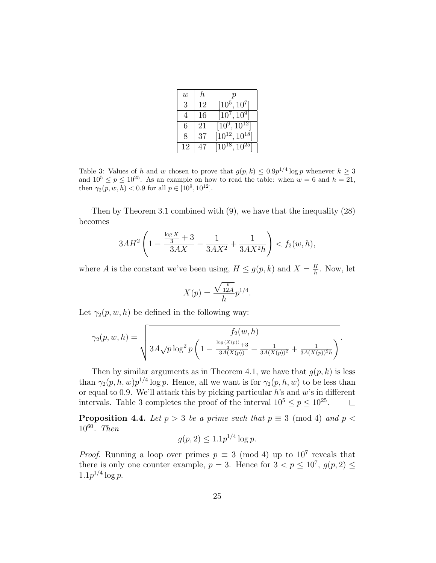| $\boldsymbol{w}$ | h  |                      |
|------------------|----|----------------------|
| 3                | 12 | $[10^5, 10^7]$       |
|                  | 16 | $[10^7, 10^9]$       |
| 6                | 21 | $[10^9, 10^{12}]$    |
| 8                | 37 | $[10^{12}, 10^{18}]$ |
| 12               | 47 | $[10^{18}, 10^{25}]$ |

Table 3: Values of h and w chosen to prove that  $g(p, k) \leq 0.9p^{1/4} \log p$  whenever  $k \geq 3$ and  $10^5 \le p \le 10^{25}$ . As an example on how to read the table: when  $w = 6$  and  $h = 21$ , then  $\gamma_2(p, w, h) < 0.9$  for all  $p \in [10^9, 10^{12}]$ .

Then by Theorem 3.1 combined with (9), we have that the inequality (28) becomes

$$
3AH^2\left(1-\frac{\frac{\log X}{3}+3}{3AX}-\frac{1}{3AX^2}+\frac{1}{3AX^2h}\right) < f_2(w,h),
$$

where A is the constant we've been using,  $H \le g(p, k)$  and  $X = \frac{H}{h}$  $\frac{H}{h}$ . Now, let

$$
X(p) = \frac{\sqrt{\frac{e}{12A}}}{h} p^{1/4}.
$$

Let  $\gamma_2(p, w, h)$  be defined in the following way:

$$
\gamma_2(p, w, h) = \sqrt{\frac{f_2(w, h)}{3A\sqrt{p}\log^2 p\left(1 - \frac{\frac{\log(X(p))}{3} + 3}{3A(X(p))} - \frac{1}{3A(X(p))^2} + \frac{1}{3A(X(p))^2h}\right)}}.
$$

Then by similar arguments as in Theorem 4.1, we have that  $q(p, k)$  is less than  $\gamma_2(p, h, w)p^{1/4}\log p$ . Hence, all we want is for  $\gamma_2(p, h, w)$  to be less than or equal to 0.9. We'll attack this by picking particular  $h$ 's and  $w$ 's in different intervals. Table 3 completes the proof of the interval  $10^5 \le p \le 10^{25}$ .  $\Box$ 

**Proposition 4.4.** Let  $p > 3$  be a prime such that  $p \equiv 3 \pmod{4}$  and  $p <$ 10<sup>60</sup>. Then

$$
g(p, 2) \leq 1.1p^{1/4} \log p.
$$

*Proof.* Running a loop over primes  $p \equiv 3 \pmod{4}$  up to  $10^7$  reveals that there is only one counter example,  $p = 3$ . Hence for  $3 < p \leq 10^7$ ,  $g(p, 2) \leq$  $1.1p^{1/4}\log p$ .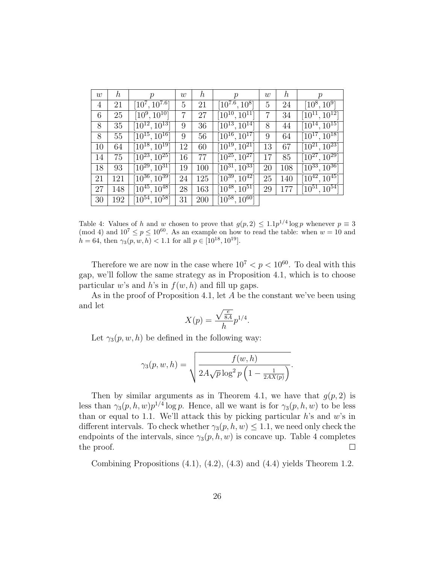| w  | $\boldsymbol{h}$ | $\,p$                         | w  | $\hbar$ | $\mathcal{p}$                   | $\boldsymbol{w}$ | $\boldsymbol{h}$ | $\mathcal{p}$                   |
|----|------------------|-------------------------------|----|---------|---------------------------------|------------------|------------------|---------------------------------|
| 4  | 21               | $[10^7, 10^{7.6}]$            | 5  | 21      | $[10^{7.6}, 10^8]$              | 5                | 24               | $[10^8, 10^9]$                  |
| 6  | 25               | $[10^9, 10^{10}]$             | 7  | 27      | $[10^{10}, 10^{11}]$            |                  | 34               | $[10^{11}, 10^{12}]$            |
| 8  | 35               | $[10^{12}, 10^{13}]$          | 9  | 36      | $\overline{[10^{13}, 10^{14}]}$ | 8                | 44               | $[10^{14}, 10^{15}]$            |
| 8  | 55               | $[10^{15}, 10^{16}]$          | 9  | 56      | $[10^{16}, 10^{17}]$            | 9                | 64               | $[10^{17}, 10^{18}]$            |
| 10 | 64               | $\sqrt{10^{18}}, 10^{19}$     | 12 | 60      | $[10^{19}, 10^{21}]$            | 13               | 67               | $[10^{21}, 10^{23}]$            |
| 14 | 75               | $\overline{10}^{23}, 10^{25}$ | 16 | 77      | $[10^{25}, 10^{27}]$            | 17               | 85               | $[10^{27}, 10^{29}]$            |
| 18 | 93               | $[10^{29}, 10^{31}]$          | 19 | 100     | $[10^{31}, 10^{33}]$            | 20               | 108              | $[\overline{10}^{33}, 10^{36}]$ |
| 21 | 121              | $[10^{36}, 10^{39}]$          | 24 | 125     | $[10^{39}, 10^{42}]$            | 25               | 140              | $[10^{42}, 10^{45}]$            |
| 27 | 148              | $[10^{45}, 10^{48}]$          | 28 | 163     | $\overline{10}^{48}, 10^{51}$   | 29               | 177              | $[10^{51}, 10^{54}]$            |
| 30 | 192              | $[10^{54}, 10^{58}]$          | 31 | 200     | $\overline{10^{58}, 10^{60}}$   |                  |                  |                                 |

Table 4: Values of h and w chosen to prove that  $g(p, 2) \leq 1.1p^{1/4} \log p$  whenever  $p \equiv 3$ (mod 4) and  $10^7 \le p \le 10^{60}$ . As an example on how to read the table: when  $w = 10$  and  $h = 64$ , then  $\gamma_3(p, w, h) < 1.1$  for all  $p \in [10^{18}, 10^{19}]$ .

Therefore we are now in the case where  $10^7 < p < 10^{60}$ . To deal with this gap, we'll follow the same strategy as in Proposition 4.1, which is to choose particular w's and h's in  $f(w, h)$  and fill up gaps.

As in the proof of Proposition 4.1, let A be the constant we've been using and let

$$
X(p) = \frac{\sqrt{\frac{e}{8A}}}{h} p^{1/4}.
$$

Let  $\gamma_3(p, w, h)$  be defined in the following way:

$$
\gamma_3(p, w, h) = \sqrt{\frac{f(w, h)}{2A\sqrt{p}\log^2 p\left(1 - \frac{1}{2AX(p)}\right)}}.
$$

Then by similar arguments as in Theorem 4.1, we have that  $g(p, 2)$  is less than  $\gamma_3(p, h, w)p^{1/4}\log p$ . Hence, all we want is for  $\gamma_3(p, h, w)$  to be less than or equal to 1.1. We'll attack this by picking particular  $h$ 's and  $w$ 's in different intervals. To check whether  $\gamma_3(p, h, w) \leq 1.1$ , we need only check the endpoints of the intervals, since  $\gamma_3(p, h, w)$  is concave up. Table 4 completes the proof.  $\Box$ 

Combining Propositions (4.1), (4.2), (4.3) and (4.4) yields Theorem 1.2.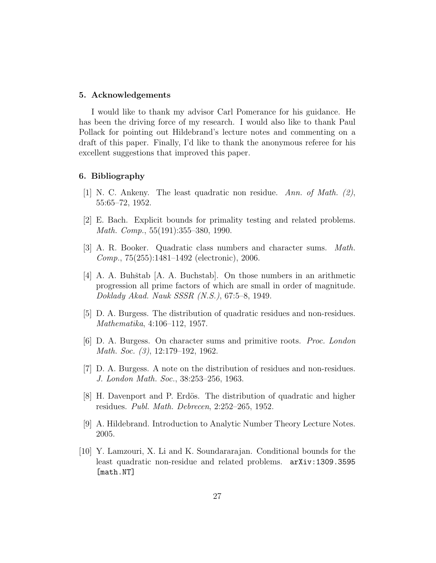#### 5. Acknowledgements

I would like to thank my advisor Carl Pomerance for his guidance. He has been the driving force of my research. I would also like to thank Paul Pollack for pointing out Hildebrand's lecture notes and commenting on a draft of this paper. Finally, I'd like to thank the anonymous referee for his excellent suggestions that improved this paper.

#### 6. Bibliography

- [1] N. C. Ankeny. The least quadratic non residue. Ann. of Math. (2), 55:65–72, 1952.
- [2] E. Bach. Explicit bounds for primality testing and related problems. Math. Comp., 55(191):355–380, 1990.
- [3] A. R. Booker. Quadratic class numbers and character sums. Math. Comp., 75(255):1481–1492 (electronic), 2006.
- $[4]$  A. A. Buhštab  $[A, A]$ . Buchstab. On those numbers in an arithmetic progression all prime factors of which are small in order of magnitude. Doklady Akad. Nauk SSSR (N.S.), 67:5–8, 1949.
- [5] D. A. Burgess. The distribution of quadratic residues and non-residues. Mathematika, 4:106–112, 1957.
- [6] D. A. Burgess. On character sums and primitive roots. Proc. London Math. Soc. (3), 12:179–192, 1962.
- [7] D. A. Burgess. A note on the distribution of residues and non-residues. J. London Math. Soc., 38:253–256, 1963.
- [8] H. Davenport and P. Erdös. The distribution of quadratic and higher residues. Publ. Math. Debrecen, 2:252–265, 1952.
- [9] A. Hildebrand. Introduction to Analytic Number Theory Lecture Notes. 2005.
- [10] Y. Lamzouri, X. Li and K. Soundararajan. Conditional bounds for the least quadratic non-residue and related problems. arXiv:1309.3595 [math.NT]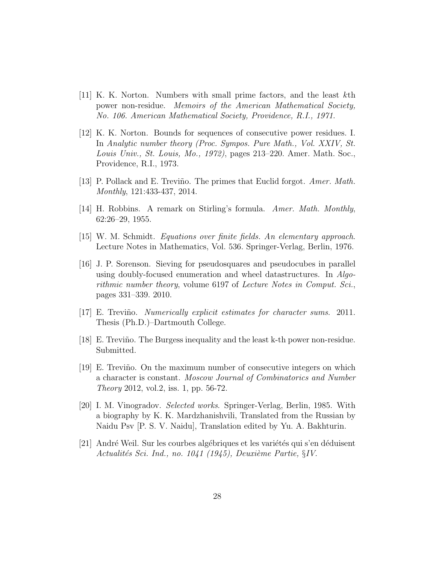- $[11]$  K. K. Norton. Numbers with small prime factors, and the least kth power non-residue. Memoirs of the American Mathematical Society, No. 106. American Mathematical Society, Providence, R.I., 1971.
- [12] K. K. Norton. Bounds for sequences of consecutive power residues. I. In Analytic number theory (Proc. Sympos. Pure Math., Vol. XXIV, St. Louis Univ., St. Louis, Mo., 1972), pages 213–220. Amer. Math. Soc., Providence, R.I., 1973.
- [13] P. Pollack and E. Treviño. The primes that Euclid forgot. *Amer. Math.* Monthly, 121:433-437, 2014.
- [14] H. Robbins. A remark on Stirling's formula. Amer. Math. Monthly, 62:26–29, 1955.
- [15] W. M. Schmidt. Equations over finite fields. An elementary approach. Lecture Notes in Mathematics, Vol. 536. Springer-Verlag, Berlin, 1976.
- [16] J. P. Sorenson. Sieving for pseudosquares and pseudocubes in parallel using doubly-focused enumeration and wheel datastructures. In Algorithmic number theory, volume 6197 of Lecture Notes in Comput. Sci., pages 331–339. 2010.
- [17] E. Treviño. Numerically explicit estimates for character sums. 2011. Thesis (Ph.D.)–Dartmouth College.
- [18] E. Trevi˜no. The Burgess inequality and the least k-th power non-residue. Submitted.
- [19] E. Trevi˜no. On the maximum number of consecutive integers on which a character is constant. Moscow Journal of Combinatorics and Number Theory 2012, vol.2, iss. 1, pp. 56-72.
- [20] I. M. Vinogradov. Selected works. Springer-Verlag, Berlin, 1985. With a biography by K. K. Mardzhanishvili, Translated from the Russian by Naidu Psv [P. S. V. Naidu], Translation edited by Yu. A. Bakhturin.
- [21] André Weil. Sur les courbes algébriques et les variétés qui s'en déduisent Actualités Sci. Ind., no. 1041 (1945), Deuxième Partie,  $\S IV$ .